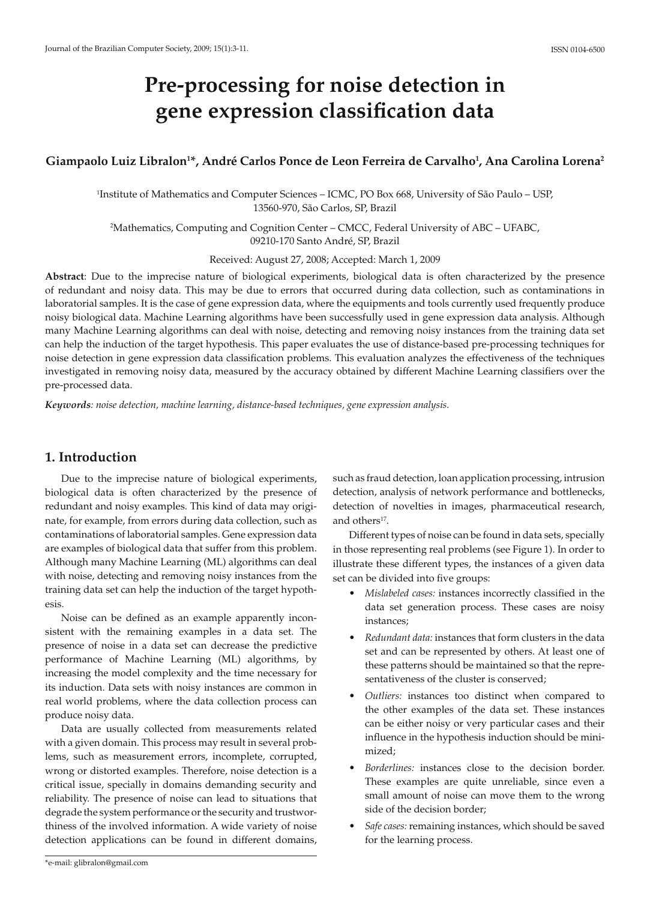# **Pre-processing for noise detection in gene expression classification data**

## **Giampaolo Luiz Libralon1 \*, André Carlos Ponce de Leon Ferreira de Carvalho1 , Ana Carolina Lorena2**

1 Institute of Mathematics and Computer Sciences – ICMC, PO Box 668, University of São Paulo – USP, 13560-970, São Carlos, SP, Brazil

2 Mathematics, Computing and Cognition Center – CMCC, Federal University of ABC – UFABC, 09210-170 Santo André, SP, Brazil

Received: August 27, 2008; Accepted: March 1, 2009

**Abstract**: Due to the imprecise nature of biological experiments, biological data is often characterized by the presence of redundant and noisy data. This may be due to errors that occurred during data collection, such as contaminations in laboratorial samples. It is the case of gene expression data, where the equipments and tools currently used frequently produce noisy biological data. Machine Learning algorithms have been successfully used in gene expression data analysis. Although many Machine Learning algorithms can deal with noise, detecting and removing noisy instances from the training data set can help the induction of the target hypothesis. This paper evaluates the use of distance-based pre-processing techniques for noise detection in gene expression data classification problems. This evaluation analyzes the effectiveness of the techniques investigated in removing noisy data, measured by the accuracy obtained by different Machine Learning classifiers over the pre-processed data.

*Keywords: noise detection, machine learning, distance-based techniques, gene expression analysis.*

## **1. Introduction**

Due to the imprecise nature of biological experiments, biological data is often characterized by the presence of redundant and noisy examples. This kind of data may originate, for example, from errors during data collection, such as contaminations of laboratorial samples. Gene expression data are examples of biological data that suffer from this problem. Although many Machine Learning (ML) algorithms can deal with noise, detecting and removing noisy instances from the training data set can help the induction of the target hypothesis.

Noise can be defined as an example apparently inconsistent with the remaining examples in a data set. The presence of noise in a data set can decrease the predictive performance of Machine Learning (ML) algorithms, by increasing the model complexity and the time necessary for its induction. Data sets with noisy instances are common in real world problems, where the data collection process can produce noisy data.

Data are usually collected from measurements related with a given domain. This process may result in several problems, such as measurement errors, incomplete, corrupted, wrong or distorted examples. Therefore, noise detection is a critical issue, specially in domains demanding security and reliability. The presence of noise can lead to situations that degrade the system performance or the security and trustworthiness of the involved information. A wide variety of noise detection applications can be found in different domains, such as fraud detection, loan application processing, intrusion detection, analysis of network performance and bottlenecks, detection of novelties in images, pharmaceutical research, and others<sup>17</sup>.

Different types of noise can be found in data sets, specially in those representing real problems (see Figure 1). In order to illustrate these different types, the instances of a given data set can be divided into five groups:

- s *Mislabeled cases:* instances incorrectly classified in the data set generation process. These cases are noisy instances;
- s *Redundant data:* instances that form clusters in the data set and can be represented by others. At least one of these patterns should be maintained so that the representativeness of the cluster is conserved;
- s *Outliers:* instances too distinct when compared to the other examples of the data set. These instances can be either noisy or very particular cases and their influence in the hypothesis induction should be minimized;
- Borderlines: instances close to the decision border. These examples are quite unreliable, since even a small amount of noise can move them to the wrong side of the decision border;
- s *Safe cases:* remaining instances, which should be saved for the learning process.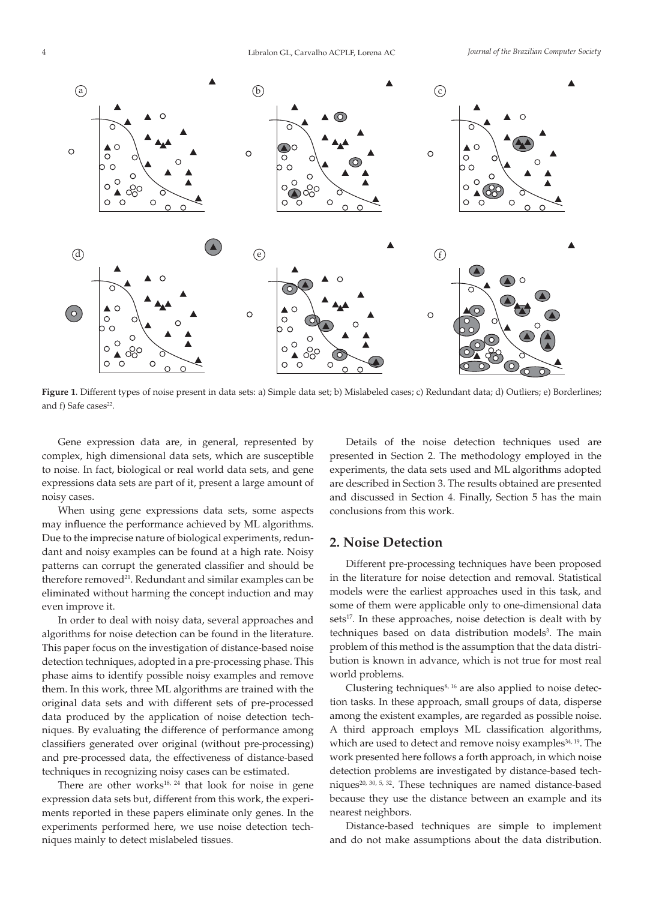

**Figure 1**. Different types of noise present in data sets: a) Simple data set; b) Mislabeled cases; c) Redundant data; d) Outliers; e) Borderlines; and f) Safe cases<sup>22</sup>.

Gene expression data are, in general, represented by complex, high dimensional data sets, which are susceptible to noise. In fact, biological or real world data sets, and gene expressions data sets are part of it, present a large amount of noisy cases.

When using gene expressions data sets, some aspects may influence the performance achieved by ML algorithms. Due to the imprecise nature of biological experiments, redundant and noisy examples can be found at a high rate. Noisy patterns can corrupt the generated classifier and should be therefore removed<sup>21</sup>. Redundant and similar examples can be eliminated without harming the concept induction and may even improve it.

In order to deal with noisy data, several approaches and algorithms for noise detection can be found in the literature. This paper focus on the investigation of distance-based noise detection techniques, adopted in a pre-processing phase. This phase aims to identify possible noisy examples and remove them. In this work, three ML algorithms are trained with the original data sets and with different sets of pre-processed data produced by the application of noise detection techniques. By evaluating the difference of performance among classifiers generated over original (without pre-processing) and pre-processed data, the effectiveness of distance-based techniques in recognizing noisy cases can be estimated.

There are other works<sup>18, 24</sup> that look for noise in gene expression data sets but, different from this work, the experiments reported in these papers eliminate only genes. In the experiments performed here, we use noise detection techniques mainly to detect mislabeled tissues.

Details of the noise detection techniques used are presented in Section 2. The methodology employed in the experiments, the data sets used and ML algorithms adopted are described in Section 3. The results obtained are presented and discussed in Section 4. Finally, Section 5 has the main conclusions from this work.

#### **2. Noise Detection**

Different pre-processing techniques have been proposed in the literature for noise detection and removal. Statistical models were the earliest approaches used in this task, and some of them were applicable only to one-dimensional data sets<sup>17</sup>. In these approaches, noise detection is dealt with by techniques based on data distribution models<sup>3</sup>. The main problem of this method is the assumption that the data distribution is known in advance, which is not true for most real world problems.

Clustering techniques<sup>8, 16</sup> are also applied to noise detection tasks. In these approach, small groups of data, disperse among the existent examples, are regarded as possible noise. A third approach employs ML classification algorithms, which are used to detect and remove noisy examples<sup>34, 19</sup>. The work presented here follows a forth approach, in which noise detection problems are investigated by distance-based techniques<sup>20, 30, 5, 32</sup>. These techniques are named distance-based because they use the distance between an example and its nearest neighbors.

Distance-based techniques are simple to implement and do not make assumptions about the data distribution.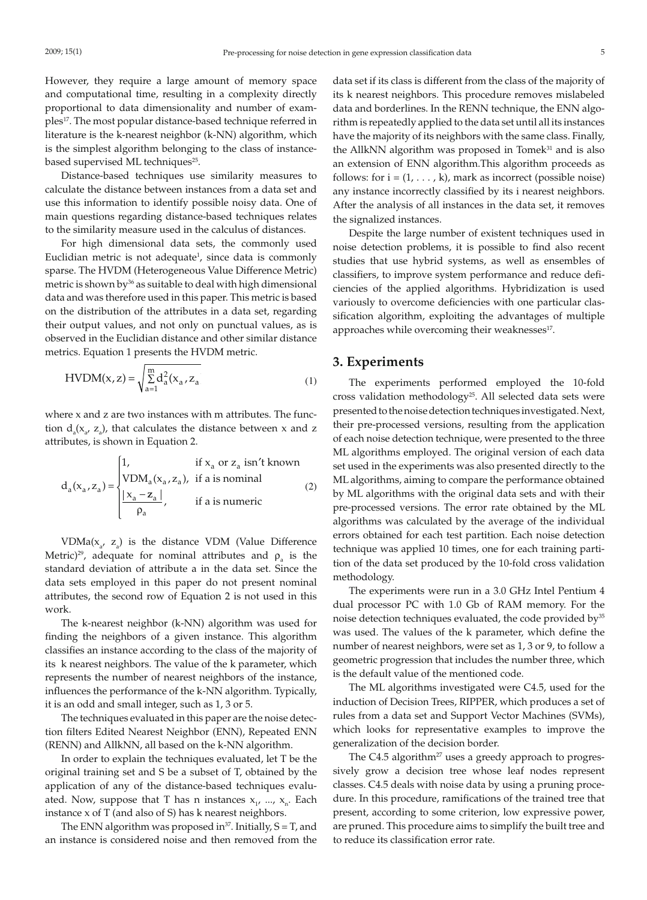However, they require a large amount of memory space and computational time, resulting in a complexity directly proportional to data dimensionality and number of examples<sup>17</sup>. The most popular distance-based technique referred in literature is the k-nearest neighbor (k-NN) algorithm, which is the simplest algorithm belonging to the class of instancebased supervised ML techniques<sup>25</sup>.

Distance-based techniques use similarity measures to calculate the distance between instances from a data set and use this information to identify possible noisy data. One of main questions regarding distance-based techniques relates to the similarity measure used in the calculus of distances.

For high dimensional data sets, the commonly used Euclidian metric is not adequate<sup>1</sup>, since data is commonly sparse. The HVDM (Heterogeneous Value Difference Metric) metric is shown by<sup>36</sup> as suitable to deal with high dimensional data and was therefore used in this paper. This metric is based on the distribution of the attributes in a data set, regarding their output values, and not only on punctual values, as is observed in the Euclidian distance and other similar distance metrics. Equation 1 presents the HVDM metric.

HVDM(x, z) = 
$$
\sqrt{\sum_{a=1}^{m} d_a^2 (x_a, z_a)}
$$
 (1)

where x and z are two instances with m attributes. The function  $d_a(x_a, z_a)$ , that calculates the distance between x and z attributes, is shown in Equation 2.

$$
d_a(x_a, z_a) = \begin{cases} 1, & \text{if } x_a \text{ or } z_a \text{ isn't known} \\ \text{VDM}_a(x_a, z_a), & \text{if a is nominal} \\ \frac{|x_a - z_a|}{\rho_a}, & \text{if a is numeric} \end{cases}
$$
(2)

 $VDMa(X_a, Z_a)$  is the distance  $VDM$  (Value Difference Metric)<sup>29</sup>, adequate for nominal attributes and  $\rho_a$  is the standard deviation of attribute a in the data set. Since the data sets employed in this paper do not present nominal attributes, the second row of Equation 2 is not used in this work.

The k-nearest neighbor (k-NN) algorithm was used for finding the neighbors of a given instance. This algorithm classifies an instance according to the class of the majority of its k nearest neighbors. The value of the k parameter, which represents the number of nearest neighbors of the instance, influences the performance of the k-NN algorithm. Typically, it is an odd and small integer, such as 1, 3 or 5.

The techniques evaluated in this paper are the noise detection filters Edited Nearest Neighbor (ENN), Repeated ENN (RENN) and AllkNN, all based on the k-NN algorithm.

In order to explain the techniques evaluated, let T be the original training set and S be a subset of T, obtained by the application of any of the distance-based techniques evaluated. Now, suppose that T has n instances  $x_1$ , ...,  $x_n$ . Each instance x of T (and also of S) has k nearest neighbors.

The ENN algorithm was proposed in<sup>37</sup>. Initially,  $S = T$ , and an instance is considered noise and then removed from the data set if its class is different from the class of the majority of its k nearest neighbors. This procedure removes mislabeled data and borderlines. In the RENN technique, the ENN algorithm is repeatedly applied to the data set until all its instances have the majority of its neighbors with the same class. Finally, the AllkNN algorithm was proposed in Tomek<sup>31</sup> and is also an extension of ENN algorithm.This algorithm proceeds as follows: for  $i = (1, \ldots, k)$ , mark as incorrect (possible noise) any instance incorrectly classified by its i nearest neighbors. After the analysis of all instances in the data set, it removes the signalized instances.

Despite the large number of existent techniques used in noise detection problems, it is possible to find also recent studies that use hybrid systems, as well as ensembles of classifiers, to improve system performance and reduce deficiencies of the applied algorithms. Hybridization is used variously to overcome deficiencies with one particular classification algorithm, exploiting the advantages of multiple approaches while overcoming their weaknesses<sup>17</sup>.

### **3. Experiments**

The experiments performed employed the 10-fold cross validation methodology<sup>25</sup>. All selected data sets were presented to the noise detection techniques investigated. Next, their pre-processed versions, resulting from the application of each noise detection technique, were presented to the three ML algorithms employed. The original version of each data set used in the experiments was also presented directly to the ML algorithms, aiming to compare the performance obtained by ML algorithms with the original data sets and with their pre-processed versions. The error rate obtained by the ML algorithms was calculated by the average of the individual errors obtained for each test partition. Each noise detection technique was applied 10 times, one for each training partition of the data set produced by the 10-fold cross validation methodology.

The experiments were run in a 3.0 GHz Intel Pentium 4 dual processor PC with 1.0 Gb of RAM memory. For the noise detection techniques evaluated, the code provided by<sup>35</sup> was used. The values of the k parameter, which define the number of nearest neighbors, were set as 1, 3 or 9, to follow a geometric progression that includes the number three, which is the default value of the mentioned code.

The ML algorithms investigated were C4.5, used for the induction of Decision Trees, RIPPER, which produces a set of rules from a data set and Support Vector Machines (SVMs), which looks for representative examples to improve the generalization of the decision border.

The C4.5 algorithm<sup>27</sup> uses a greedy approach to progressively grow a decision tree whose leaf nodes represent classes. C4.5 deals with noise data by using a pruning procedure. In this procedure, ramifications of the trained tree that present, according to some criterion, low expressive power, are pruned. This procedure aims to simplify the built tree and to reduce its classification error rate.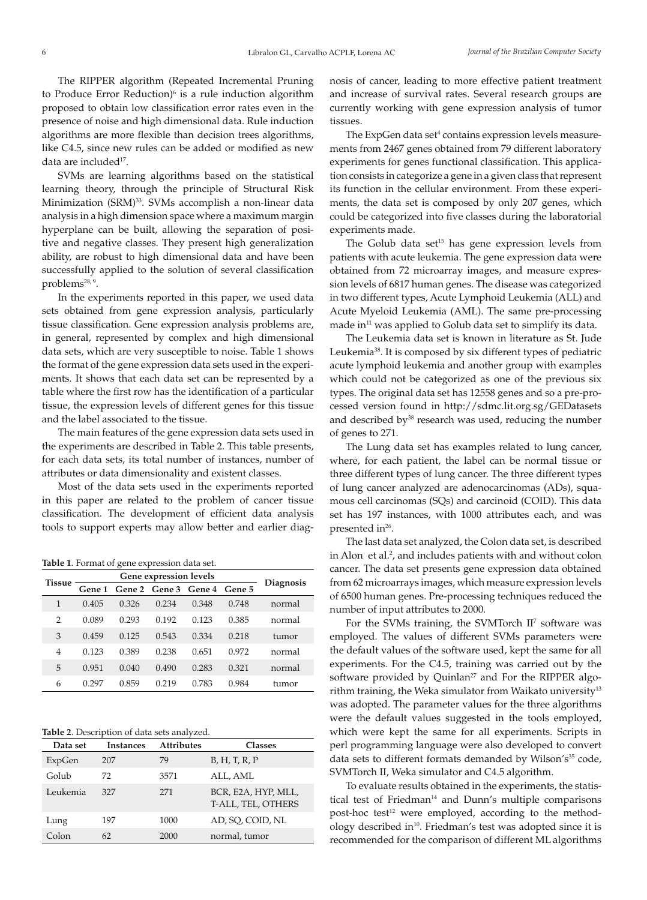The RIPPER algorithm (Repeated Incremental Pruning to Produce Error Reduction)<sup>6</sup> is a rule induction algorithm proposed to obtain low classification error rates even in the presence of noise and high dimensional data. Rule induction algorithms are more flexible than decision trees algorithms, like C4.5, since new rules can be added or modified as new data are included<sup>17</sup>.

SVMs are learning algorithms based on the statistical learning theory, through the principle of Structural Risk Minimization (SRM)<sup>33</sup>. SVMs accomplish a non-linear data analysis in a high dimension space where a maximum margin hyperplane can be built, allowing the separation of positive and negative classes. They present high generalization ability, are robust to high dimensional data and have been successfully applied to the solution of several classification problems<sup>28, 9</sup>.

In the experiments reported in this paper, we used data sets obtained from gene expression analysis, particularly tissue classification. Gene expression analysis problems are, in general, represented by complex and high dimensional data sets, which are very susceptible to noise. Table 1 shows the format of the gene expression data sets used in the experiments. It shows that each data set can be represented by a table where the first row has the identification of a particular tissue, the expression levels of different genes for this tissue and the label associated to the tissue.

The main features of the gene expression data sets used in the experiments are described in Table 2. This table presents, for each data sets, its total number of instances, number of attributes or data dimensionality and existent classes.

Most of the data sets used in the experiments reported in this paper are related to the problem of cancer tissue classification. The development of efficient data analysis tools to support experts may allow better and earlier diag-

**Table 1**. Format of gene expression data set.

| <b>Tissue</b>  |        |       |                             |       |       |                  |
|----------------|--------|-------|-----------------------------|-------|-------|------------------|
|                | Gene 1 |       | Gene 2 Gene 3 Gene 4 Gene 5 |       |       | <b>Diagnosis</b> |
| 1              | 0.405  | 0.326 | 0.234                       | 0.348 | 0.748 | normal           |
| $\overline{2}$ | 0.089  | 0.293 | 0.192                       | 0.123 | 0.385 | normal           |
| 3              | 0.459  | 0.125 | 0.543                       | 0.334 | 0.218 | tumor            |
| 4              | 0.123  | 0.389 | 0.238                       | 0.651 | 0.972 | normal           |
| 5              | 0.951  | 0.040 | 0.490                       | 0.283 | 0.321 | normal           |
| 6              | 0.297  | 0.859 | 0.219                       | 0.783 | 0.984 | tumor            |
|                |        |       |                             |       |       |                  |

**Table 2**. Description of data sets analyzed.

| Data set | Instances | <b>Attributes</b> | <b>Classes</b>                            |
|----------|-----------|-------------------|-------------------------------------------|
| ExpGen   | 207       | 79                | B, H, T, R, P                             |
| Golub    | 72        | 3571              | ALL, AML                                  |
| Leukemia | 327       | 271               | BCR, E2A, HYP, MLL,<br>T-ALL, TEL, OTHERS |
| Lung     | 197       | 1000              | AD, SO, COID, NL                          |
| Colon    | 62        | 2000              | normal, tumor                             |

nosis of cancer, leading to more effective patient treatment and increase of survival rates. Several research groups are currently working with gene expression analysis of tumor tissues.

The ExpGen data set<sup>4</sup> contains expression levels measurements from 2467 genes obtained from 79 different laboratory experiments for genes functional classification. This application consists in categorize a gene in a given class that represent its function in the cellular environment. From these experiments, the data set is composed by only 207 genes, which could be categorized into five classes during the laboratorial experiments made.

The Golub data set<sup>15</sup> has gene expression levels from patients with acute leukemia. The gene expression data were obtained from 72 microarray images, and measure expression levels of 6817 human genes. The disease was categorized in two different types, Acute Lymphoid Leukemia (ALL) and Acute Myeloid Leukemia (AML). The same pre-processing made in<sup>11</sup> was applied to Golub data set to simplify its data.

The Leukemia data set is known in literature as St. Jude Leukemia38. It is composed by six different types of pediatric acute lymphoid leukemia and another group with examples which could not be categorized as one of the previous six types. The original data set has 12558 genes and so a pre-processed version found in http://sdmc.lit.org.sg/GEDatasets and described by<sup>38</sup> research was used, reducing the number of genes to 271.

The Lung data set has examples related to lung cancer, where, for each patient, the label can be normal tissue or three different types of lung cancer. The three different types of lung cancer analyzed are adenocarcinomas (ADs), squamous cell carcinomas (SQs) and carcinoid (COID). This data set has 197 instances, with 1000 attributes each, and was presented in<sup>26</sup>.

The last data set analyzed, the Colon data set, is described in Alon et al.<sup>2</sup>, and includes patients with and without colon cancer. The data set presents gene expression data obtained from 62 microarrays images, which measure expression levels of 6500 human genes. Pre-processing techniques reduced the number of input attributes to 2000.

For the SVMs training, the SVMTorch II<sup>7</sup> software was employed. The values of different SVMs parameters were the default values of the software used, kept the same for all experiments. For the C4.5, training was carried out by the software provided by Quinlan<sup>27</sup> and For the RIPPER algorithm training, the Weka simulator from Waikato university $13$ was adopted. The parameter values for the three algorithms were the default values suggested in the tools employed, which were kept the same for all experiments. Scripts in perl programming language were also developed to convert data sets to different formats demanded by Wilson's<sup>35</sup> code, SVMTorch II, Weka simulator and C4.5 algorithm.

To evaluate results obtained in the experiments, the statistical test of Friedman<sup>14</sup> and Dunn's multiple comparisons post-hoc test<sup>12</sup> were employed, according to the methodology described in<sup>10</sup>. Friedman's test was adopted since it is recommended for the comparison of different ML algorithms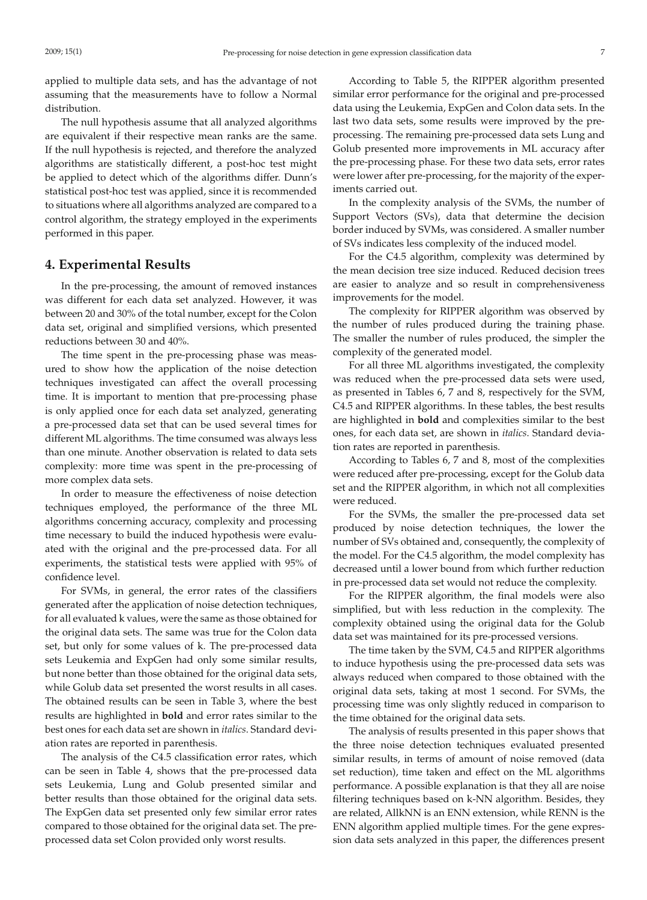applied to multiple data sets, and has the advantage of not assuming that the measurements have to follow a Normal distribution.

The null hypothesis assume that all analyzed algorithms are equivalent if their respective mean ranks are the same. If the null hypothesis is rejected, and therefore the analyzed algorithms are statistically different, a post-hoc test might be applied to detect which of the algorithms differ. Dunn's statistical post-hoc test was applied, since it is recommended to situations where all algorithms analyzed are compared to a control algorithm, the strategy employed in the experiments performed in this paper.

### **4. Experimental Results**

In the pre-processing, the amount of removed instances was different for each data set analyzed. However, it was between 20 and 30% of the total number, except for the Colon data set, original and simplified versions, which presented reductions between 30 and 40%.

The time spent in the pre-processing phase was measured to show how the application of the noise detection techniques investigated can affect the overall processing time. It is important to mention that pre-processing phase is only applied once for each data set analyzed, generating a pre-processed data set that can be used several times for different ML algorithms. The time consumed was always less than one minute. Another observation is related to data sets complexity: more time was spent in the pre-processing of more complex data sets.

In order to measure the effectiveness of noise detection techniques employed, the performance of the three ML algorithms concerning accuracy, complexity and processing time necessary to build the induced hypothesis were evaluated with the original and the pre-processed data. For all experiments, the statistical tests were applied with 95% of confidence level.

For SVMs, in general, the error rates of the classifiers generated after the application of noise detection techniques, for all evaluated k values, were the same as those obtained for the original data sets. The same was true for the Colon data set, but only for some values of k. The pre-processed data sets Leukemia and ExpGen had only some similar results, but none better than those obtained for the original data sets, while Golub data set presented the worst results in all cases. The obtained results can be seen in Table 3, where the best results are highlighted in **bold** and error rates similar to the best ones for each data set are shown in *italics*. Standard deviation rates are reported in parenthesis.

The analysis of the C4.5 classification error rates, which can be seen in Table 4, shows that the pre-processed data sets Leukemia, Lung and Golub presented similar and better results than those obtained for the original data sets. The ExpGen data set presented only few similar error rates compared to those obtained for the original data set. The preprocessed data set Colon provided only worst results.

According to Table 5, the RIPPER algorithm presented similar error performance for the original and pre-processed data using the Leukemia, ExpGen and Colon data sets. In the last two data sets, some results were improved by the preprocessing. The remaining pre-processed data sets Lung and Golub presented more improvements in ML accuracy after the pre-processing phase. For these two data sets, error rates were lower after pre-processing, for the majority of the experiments carried out.

In the complexity analysis of the SVMs, the number of Support Vectors (SVs), data that determine the decision border induced by SVMs, was considered. A smaller number of SVs indicates less complexity of the induced model.

For the C4.5 algorithm, complexity was determined by the mean decision tree size induced. Reduced decision trees are easier to analyze and so result in comprehensiveness improvements for the model.

The complexity for RIPPER algorithm was observed by the number of rules produced during the training phase. The smaller the number of rules produced, the simpler the complexity of the generated model.

For all three ML algorithms investigated, the complexity was reduced when the pre-processed data sets were used, as presented in Tables 6, 7 and 8, respectively for the SVM, C4.5 and RIPPER algorithms. In these tables, the best results are highlighted in **bold** and complexities similar to the best ones, for each data set, are shown in *italics*. Standard deviation rates are reported in parenthesis.

According to Tables 6, 7 and 8, most of the complexities were reduced after pre-processing, except for the Golub data set and the RIPPER algorithm, in which not all complexities were reduced.

For the SVMs, the smaller the pre-processed data set produced by noise detection techniques, the lower the number of SVs obtained and, consequently, the complexity of the model. For the C4.5 algorithm, the model complexity has decreased until a lower bound from which further reduction in pre-processed data set would not reduce the complexity.

For the RIPPER algorithm, the final models were also simplified, but with less reduction in the complexity. The complexity obtained using the original data for the Golub data set was maintained for its pre-processed versions.

The time taken by the SVM, C4.5 and RIPPER algorithms to induce hypothesis using the pre-processed data sets was always reduced when compared to those obtained with the original data sets, taking at most 1 second. For SVMs, the processing time was only slightly reduced in comparison to the time obtained for the original data sets.

The analysis of results presented in this paper shows that the three noise detection techniques evaluated presented similar results, in terms of amount of noise removed (data set reduction), time taken and effect on the ML algorithms performance. A possible explanation is that they all are noise filtering techniques based on k-NN algorithm. Besides, they are related, AllkNN is an ENN extension, while RENN is the ENN algorithm applied multiple times. For the gene expression data sets analyzed in this paper, the differences present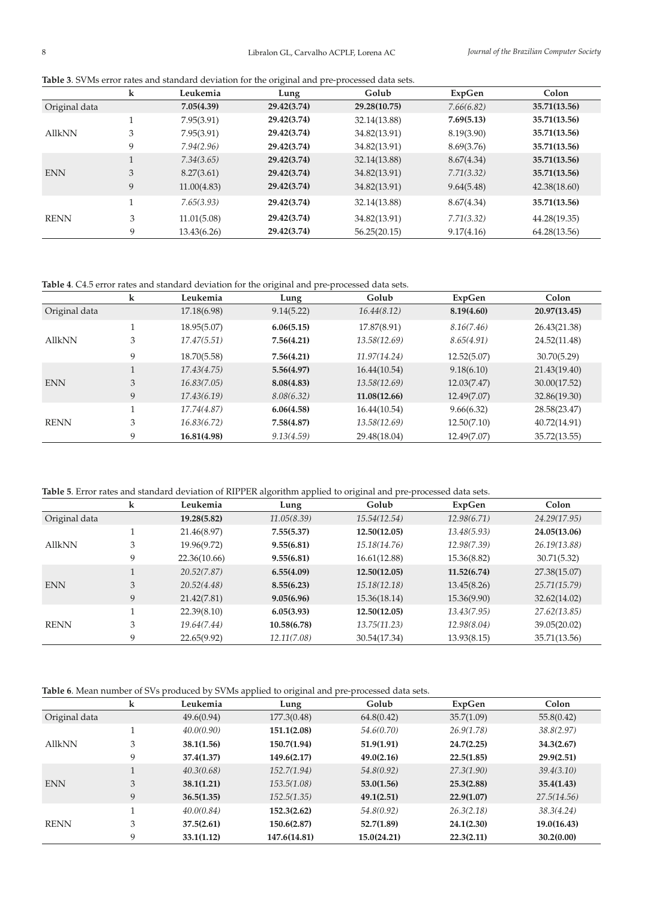| Table 3. SVMs error rates and standard deviation for the original and pre-processed data sets. |  |  |  |  |  |
|------------------------------------------------------------------------------------------------|--|--|--|--|--|
|                                                                                                |  |  |  |  |  |

|               | k | Leukemia    | $\circ$<br>Lung | Golub        | ExpGen     | Colon        |
|---------------|---|-------------|-----------------|--------------|------------|--------------|
| Original data |   | 7.05(4.39)  | 29.42(3.74)     | 29.28(10.75) | 7.66(6.82) | 35.71(13.56) |
|               |   | 7.95(3.91)  | 29.42(3.74)     | 32.14(13.88) | 7.69(5.13) | 35.71(13.56) |
| <b>AllkNN</b> | 3 | 7.95(3.91)  | 29.42(3.74)     | 34.82(13.91) | 8.19(3.90) | 35.71(13.56) |
|               | 9 | 7.94(2.96)  | 29.42(3.74)     | 34.82(13.91) | 8.69(3.76) | 35.71(13.56) |
|               |   | 7.34(3.65)  | 29.42(3.74)     | 32.14(13.88) | 8.67(4.34) | 35.71(13.56) |
| <b>ENN</b>    | 3 | 8.27(3.61)  | 29.42(3.74)     | 34.82(13.91) | 7.71(3.32) | 35.71(13.56) |
|               | 9 | 11.00(4.83) | 29.42(3.74)     | 34.82(13.91) | 9.64(5.48) | 42.38(18.60) |
| <b>RENN</b>   |   | 7.65(3.93)  | 29.42(3.74)     | 32.14(13.88) | 8.67(4.34) | 35.71(13.56) |
|               | 3 | 11.01(5.08) | 29.42(3.74)     | 34.82(13.91) | 7.71(3.32) | 44.28(19.35) |
|               | 9 | 13.43(6.26) | 29.42(3.74)     | 56.25(20.15) | 9.17(4.16) | 64.28(13.56) |

**Table 4**. C4.5 error rates and standard deviation for the original and pre-processed data sets.

|               | k | Leukemia    | Lung       | Golub        | ExpGen      | Colon        |
|---------------|---|-------------|------------|--------------|-------------|--------------|
| Original data |   | 17.18(6.98) | 9.14(5.22) | 16.44(8.12)  | 8.19(4.60)  | 20.97(13.45) |
|               |   | 18.95(5.07) | 6.06(5.15) | 17.87(8.91)  | 8.16(7.46)  | 26.43(21.38) |
| <b>AllkNN</b> | 3 | 17.47(5.51) | 7.56(4.21) | 13.58(12.69) | 8.65(4.91)  | 24.52(11.48) |
|               | 9 | 18.70(5.58) | 7.56(4.21) | 11.97(14.24) | 12.52(5.07) | 30.70(5.29)  |
|               |   | 17.43(4.75) | 5.56(4.97) | 16.44(10.54) | 9.18(6.10)  | 21.43(19.40) |
| <b>ENN</b>    | 3 | 16.83(7.05) | 8.08(4.83) | 13.58(12.69) | 12.03(7.47) | 30.00(17.52) |
|               | 9 | 17.43(6.19) | 8.08(6.32) | 11.08(12.66) | 12.49(7.07) | 32.86(19.30) |
|               |   | 17.74(4.87) | 6.06(4.58) | 16.44(10.54) | 9.66(6.32)  | 28.58(23.47) |
| <b>RENN</b>   | 3 | 16.83(6.72) | 7.58(4.87) | 13.58(12.69) | 12.50(7.10) | 40.72(14.91) |
|               | 9 | 16.81(4.98) | 9.13(4.59) | 29.48(18.04) | 12.49(7.07) | 35.72(13.55) |

**Table 5**. Error rates and standard deviation of RIPPER algorithm applied to original and pre-processed data sets.

|               | k | Leukemia     | Lung        | Golub        | ExpGen      | Colon        |
|---------------|---|--------------|-------------|--------------|-------------|--------------|
| Original data |   | 19.28(5.82)  | 11.05(8.39) | 15.54(12.54) | 12.98(6.71) | 24.29(17.95) |
|               |   | 21.46(8.97)  | 7.55(5.37)  | 12.50(12.05) | 13.48(5.93) | 24.05(13.06) |
| <b>AllkNN</b> | 3 | 19.96(9.72)  | 9.55(6.81)  | 15.18(14.76) | 12.98(7.39) | 26.19(13.88) |
|               | 9 | 22.36(10.66) | 9.55(6.81)  | 16.61(12.88) | 15.36(8.82) | 30.71(5.32)  |
|               |   | 20.52(7.87)  | 6.55(4.09)  | 12.50(12.05) | 11.52(6.74) | 27.38(15.07) |
| <b>ENN</b>    | 3 | 20.52(4.48)  | 8.55(6.23)  | 15.18(12.18) | 13.45(8.26) | 25.71(15.79) |
|               | 9 | 21.42(7.81)  | 9.05(6.96)  | 15.36(18.14) | 15.36(9.90) | 32.62(14.02) |
|               |   | 22.39(8.10)  | 6.05(3.93)  | 12.50(12.05) | 13.43(7.95) | 27.62(13.85) |
| <b>RENN</b>   | 3 | 19.64(7.44)  | 10.58(6.78) | 13.75(11.23) | 12.98(8.04) | 39.05(20.02) |
|               | 9 | 22.65(9.92)  | 12.11(7.08) | 30.54(17.34) | 13.93(8.15) | 35.71(13.56) |

**Table 6**. Mean number of SVs produced by SVMs applied to original and pre-processed data sets.

|               | k | Leukemia   | Lung         | Golub       | ExpGen     | Colon       |
|---------------|---|------------|--------------|-------------|------------|-------------|
| Original data |   | 49.6(0.94) | 177.3(0.48)  | 64.8(0.42)  | 35.7(1.09) | 55.8(0.42)  |
|               |   | 40.0(0.90) | 151.1(2.08)  | 54.6(0.70)  | 26.9(1.78) | 38.8(2.97)  |
| <b>AllkNN</b> | 3 | 38.1(1.56) | 150.7(1.94)  | 51.9(1.91)  | 24.7(2.25) | 34.3(2.67)  |
|               | 9 | 37.4(1.37) | 149.6(2.17)  | 49.0(2.16)  | 22.5(1.85) | 29.9(2.51)  |
|               |   | 40.3(0.68) | 152.7(1.94)  | 54.8(0.92)  | 27.3(1.90) | 39.4(3.10)  |
| <b>ENN</b>    | 3 | 38.1(1.21) | 153.5(1.08)  | 53.0(1.56)  | 25.3(2.88) | 35.4(1.43)  |
|               | 9 | 36.5(1.35) | 152.5(1.35)  | 49.1(2.51)  | 22.9(1.07) | 27.5(14.56) |
|               |   | 40.0(0.84) | 152.3(2.62)  | 54.8(0.92)  | 26.3(2.18) | 38.3(4.24)  |
| <b>RENN</b>   | 3 | 37.5(2.61) | 150.6(2.87)  | 52.7(1.89)  | 24.1(2.30) | 19.0(16.43) |
|               | 9 | 33.1(1.12) | 147.6(14.81) | 15.0(24.21) | 22.3(2.11) | 30.2(0.00)  |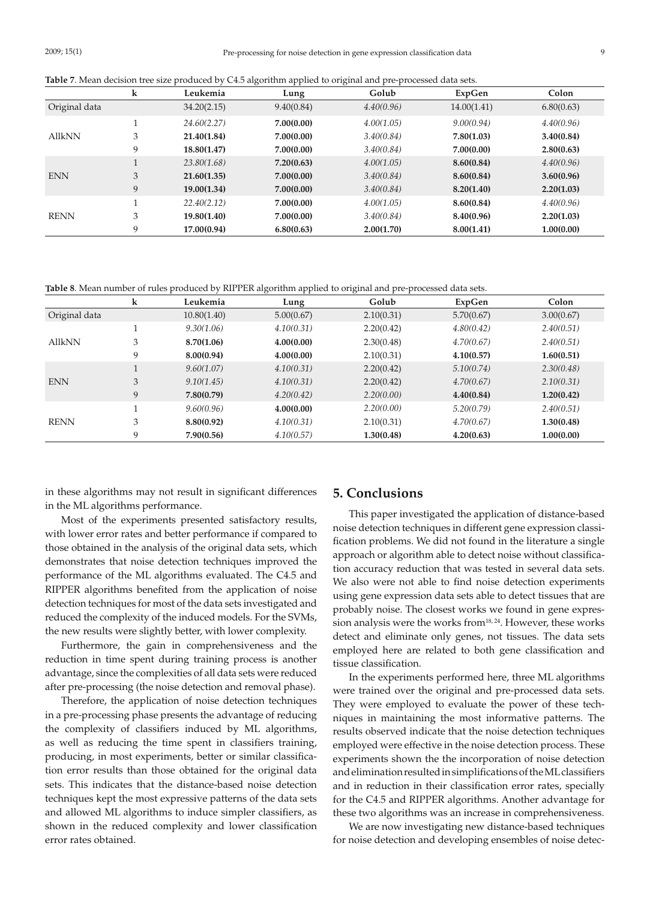|               | k | Leukemia    | Lung       | Golub      | ExpGen      | Colon      |
|---------------|---|-------------|------------|------------|-------------|------------|
| Original data |   | 34.20(2.15) | 9.40(0.84) | 4.40(0.96) | 14.00(1.41) | 6.80(0.63) |
|               |   | 24.60(2.27) | 7.00(0.00) | 4.00(1.05) | 9.00(0.94)  | 4.40(0.96) |
| <b>AllkNN</b> | 3 | 21.40(1.84) | 7.00(0.00) | 3.40(0.84) | 7.80(1.03)  | 3.40(0.84) |
|               | 9 | 18.80(1.47) | 7.00(0.00) | 3.40(0.84) | 7.00(0.00)  | 2.80(0.63) |
|               |   | 23.80(1.68) | 7.20(0.63) | 4.00(1.05) | 8.60(0.84)  | 4.40(0.96) |
| <b>ENN</b>    | 3 | 21.60(1.35) | 7.00(0.00) | 3.40(0.84) | 8.60(0.84)  | 3.60(0.96) |
|               | 9 | 19.00(1.34) | 7.00(0.00) | 3.40(0.84) | 8.20(1.40)  | 2.20(1.03) |
| <b>RENN</b>   |   | 22.40(2.12) | 7.00(0.00) | 4.00(1.05) | 8.60(0.84)  | 4.40(0.96) |
|               | 3 | 19.80(1.40) | 7.00(0.00) | 3.40(0.84) | 8.40(0.96)  | 2.20(1.03) |
|               | 9 | 17.00(0.94) | 6.80(0.63) | 2.00(1.70) | 8.00(1.41)  | 1.00(0.00) |

**Table 8**. Mean number of rules produced by RIPPER algorithm applied to original and pre-processed data sets.

|               | k | Leukemia    | Lung       | Golub      | ExpGen     | Colon      |
|---------------|---|-------------|------------|------------|------------|------------|
| Original data |   | 10.80(1.40) | 5.00(0.67) | 2.10(0.31) | 5.70(0.67) | 3.00(0.67) |
|               |   | 9.30(1.06)  | 4.10(0.31) | 2.20(0.42) | 4.80(0.42) | 2.40(0.51) |
| <b>AllkNN</b> | 3 | 8.70(1.06)  | 4.00(0.00) | 2.30(0.48) | 4.70(0.67) | 2.40(0.51) |
|               | 9 | 8.00(0.94)  | 4.00(0.00) | 2.10(0.31) | 4.10(0.57) | 1.60(0.51) |
|               |   | 9.60(1.07)  | 4.10(0.31) | 2.20(0.42) | 5.10(0.74) | 2.30(0.48) |
| <b>ENN</b>    | 3 | 9.10(1.45)  | 4.10(0.31) | 2.20(0.42) | 4.70(0.67) | 2.10(0.31) |
|               | 9 | 7.80(0.79)  | 4.20(0.42) | 2.20(0.00) | 4.40(0.84) | 1.20(0.42) |
|               |   | 9.60(0.96)  | 4.00(0.00) | 2.20(0.00) | 5.20(0.79) | 2.40(0.51) |
| <b>RENN</b>   | 3 | 8.80(0.92)  | 4.10(0.31) | 2.10(0.31) | 4.70(0.67) | 1.30(0.48) |
|               | 9 | 7.90(0.56)  | 4.10(0.57) | 1.30(0.48) | 4.20(0.63) | 1.00(0.00) |

in these algorithms may not result in significant differences in the ML algorithms performance.

Most of the experiments presented satisfactory results, with lower error rates and better performance if compared to those obtained in the analysis of the original data sets, which demonstrates that noise detection techniques improved the performance of the ML algorithms evaluated. The C4.5 and RIPPER algorithms benefited from the application of noise detection techniques for most of the data sets investigated and reduced the complexity of the induced models. For the SVMs, the new results were slightly better, with lower complexity.

Furthermore, the gain in comprehensiveness and the reduction in time spent during training process is another advantage, since the complexities of all data sets were reduced after pre-processing (the noise detection and removal phase).

Therefore, the application of noise detection techniques in a pre-processing phase presents the advantage of reducing the complexity of classifiers induced by ML algorithms, as well as reducing the time spent in classifiers training, producing, in most experiments, better or similar classification error results than those obtained for the original data sets. This indicates that the distance-based noise detection techniques kept the most expressive patterns of the data sets and allowed ML algorithms to induce simpler classifiers, as shown in the reduced complexity and lower classification error rates obtained.

#### **5. Conclusions**

This paper investigated the application of distance-based noise detection techniques in different gene expression classification problems. We did not found in the literature a single approach or algorithm able to detect noise without classification accuracy reduction that was tested in several data sets. We also were not able to find noise detection experiments using gene expression data sets able to detect tissues that are probably noise. The closest works we found in gene expression analysis were the works from<sup>18, 24</sup>. However, these works detect and eliminate only genes, not tissues. The data sets employed here are related to both gene classification and tissue classification.

In the experiments performed here, three ML algorithms were trained over the original and pre-processed data sets. They were employed to evaluate the power of these techniques in maintaining the most informative patterns. The results observed indicate that the noise detection techniques employed were effective in the noise detection process. These experiments shown the the incorporation of noise detection and elimination resulted in simplifications of the ML classifiers and in reduction in their classification error rates, specially for the C4.5 and RIPPER algorithms. Another advantage for these two algorithms was an increase in comprehensiveness.

We are now investigating new distance-based techniques for noise detection and developing ensembles of noise detec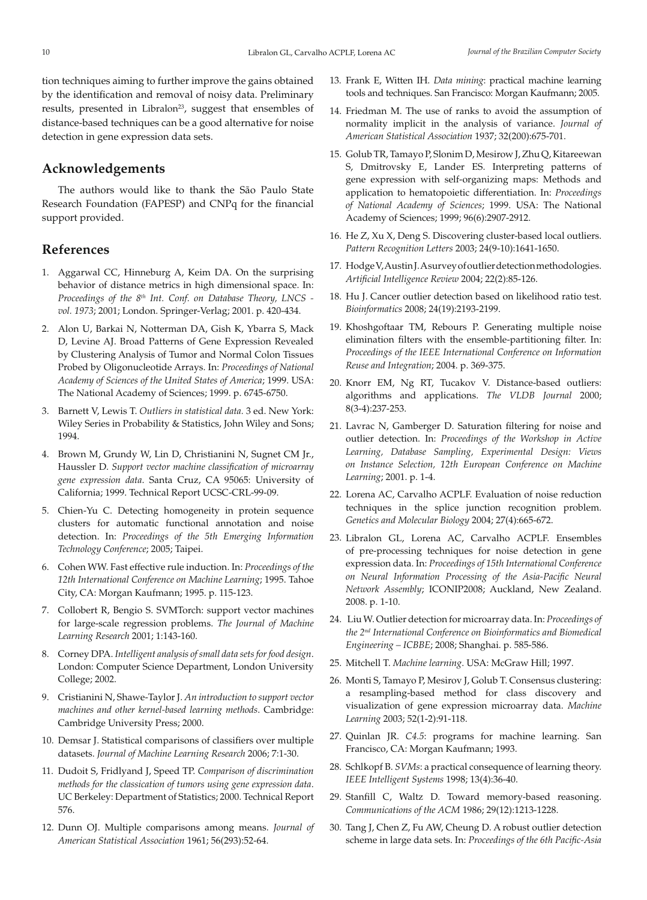tion techniques aiming to further improve the gains obtained by the identification and removal of noisy data. Preliminary results, presented in Libralon<sup>23</sup>, suggest that ensembles of distance-based techniques can be a good alternative for noise detection in gene expression data sets.

#### **Acknowledgements**

The authors would like to thank the São Paulo State Research Foundation (FAPESP) and CNPq for the financial support provided.

### **References**

- 1. Aggarwal CC, Hinneburg A, Keim DA. On the surprising behavior of distance metrics in high dimensional space. In: *Proceedings of the 8th Int. Conf. on Database Theory, LNCS vol. 1973*; 2001; London. Springer-Verlag; 2001. p. 420-434.
- 2. Alon U, Barkai N, Notterman DA, Gish K, Ybarra S, Mack D, Levine AJ. Broad Patterns of Gene Expression Revealed by Clustering Analysis of Tumor and Normal Colon Tissues Probed by Oligonucleotide Arrays. In: *Proceedings of National Academy of Sciences of the United States of America*; 1999. USA: The National Academy of Sciences; 1999. p. 6745-6750.
- 3. Barnett V, Lewis T. *Outliers in statistical data.* 3 ed. New York: Wiley Series in Probability & Statistics, John Wiley and Sons; 1994.
- 4. Brown M, Grundy W, Lin D, Christianini N, Sugnet CM Jr., Haussler D. *Support vector machine classification of microarray gene expression data*. Santa Cruz, CA 95065: University of California; 1999. Technical Report UCSC-CRL-99-09.
- 5. Chien-Yu C. Detecting homogeneity in protein sequence clusters for automatic functional annotation and noise detection. In: *Proceedings of the 5th Emerging Information Technology Conference*; 2005; Taipei.
- 6. Cohen WW. Fast effective rule induction. In: *Proceedings of the 12th International Conference on Machine Learning*; 1995. Tahoe City, CA: Morgan Kaufmann; 1995. p. 115-123.
- 7. Collobert R, Bengio S. SVMTorch: support vector machines for large-scale regression problems. *The Journal of Machine Learning Research* 2001; 1:143-160.
- 8. Corney DPA. *Intelligent analysis of small data sets for food design*. London: Computer Science Department, London University College; 2002.
- 9. Cristianini N, Shawe-Taylor J. *An introduction to support vector machines and other kernel-based learning methods*. Cambridge: Cambridge University Press; 2000.
- 10. Demsar J. Statistical comparisons of classifiers over multiple datasets. *Journal of Machine Learning Research* 2006; 7:1-30.
- 11. Dudoit S, Fridlyand J, Speed TP. *Comparison of discrimination methods for the classication of tumors using gene expression data*. UC Berkeley: Department of Statistics; 2000. Technical Report 576.
- 12. Dunn OJ. Multiple comparisons among means. *Journal of American Statistical Association* 1961; 56(293):52-64.
- 13. Frank E, Witten IH. *Data mining*: practical machine learning tools and techniques. San Francisco: Morgan Kaufmann; 2005.
- 14. Friedman M. The use of ranks to avoid the assumption of normality implicit in the analysis of variance. *Journal of American Statistical Association* 1937; 32(200):675-701.
- 15. Golub TR, Tamayo P, Slonim D, Mesirow J, Zhu Q, Kitareewan S, Dmitrovsky E, Lander ES. Interpreting patterns of gene expression with self-organizing maps: Methods and application to hematopoietic differentiation. In: *Proceedings of National Academy of Sciences*; 1999. USA: The National Academy of Sciences; 1999; 96(6):2907-2912.
- 16. He Z, Xu X, Deng S. Discovering cluster-based local outliers. *Pattern Recognition Letters* 2003; 24(9-10):1641-1650.
- 17. Hodge V, Austin J. A survey of outlier detection methodologies. *Artificial Intelligence Review* 2004; 22(2):85-126.
- 18. Hu J. Cancer outlier detection based on likelihood ratio test. *Bioinformatics* 2008; 24(19):2193-2199.
- 19. Khoshgoftaar TM, Rebours P. Generating multiple noise elimination filters with the ensemble-partitioning filter. In: *Proceedings of the IEEE International Conference on Information Reuse and Integration*; 2004. p. 369-375.
- 20. Knorr EM, Ng RT, Tucakov V. Distance-based outliers: algorithms and applications. *The VLDB Journal* 2000; 8(3-4):237-253.
- 21. Lavrac N, Gamberger D. Saturation filtering for noise and outlier detection. In: *Proceedings of the Workshop in Active Learning, Database Sampling, Experimental Design: Views on Instance Selection, 12th European Conference on Machine Learning*; 2001. p. 1-4.
- 22. Lorena AC, Carvalho ACPLF. Evaluation of noise reduction techniques in the splice junction recognition problem. *Genetics and Molecular Biology* 2004; 27(4):665-672.
- 23. Libralon GL, Lorena AC, Carvalho ACPLF. Ensembles of pre-processing techniques for noise detection in gene expression data. In: *Proceedings of 15th International Conference on Neural Information Processing of the Asia-Pacific Neural Network Assembly*; ICONIP2008; Auckland, New Zealand. 2008. p. 1-10.
- 24. Liu W. Outlier detection for microarray data. In: *Proceedings of the 2nd International Conference on Bioinformatics and Biomedical Engineering – ICBBE*; 2008; Shanghai. p. 585-586.
- 25. Mitchell T. *Machine learning*. USA: McGraw Hill; 1997.
- 26. Monti S, Tamayo P, Mesirov J, Golub T. Consensus clustering: a resampling-based method for class discovery and visualization of gene expression microarray data. *Machine Learning* 2003; 52(1-2):91-118.
- 27. Quinlan JR. *C4.5*: programs for machine learning. San Francisco, CA: Morgan Kaufmann; 1993.
- 28. Schlkopf B. *SVMs*: a practical consequence of learning theory. *IEEE Intelligent Systems* 1998; 13(4):36-40.
- 29. Stanfill C, Waltz D. Toward memory-based reasoning. *Communications of the ACM* 1986; 29(12):1213-1228.
- 30. Tang J, Chen Z, Fu AW, Cheung D. A robust outlier detection scheme in large data sets. In: *Proceedings of the 6th Pacific-Asia*